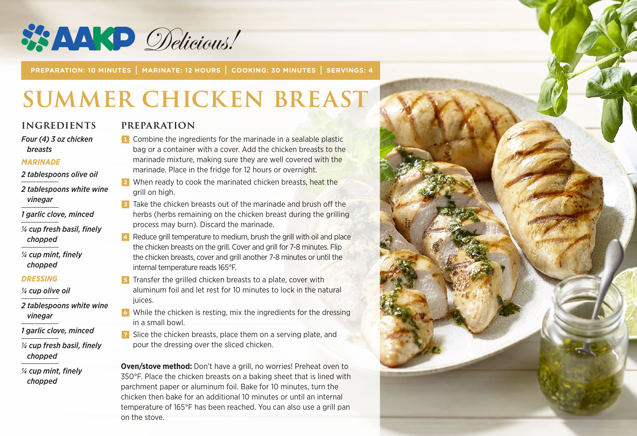

**PREPARATION: 10 MINUTES | MARINATE: 12 HOURS | COOKING: 30 MINUTES | SERVINGS: 4**

# **Summer Chicken Breast**

#### **INGREDIENTS**

*Four (4) 3 oz chicken breasts* 

#### *MARINADE*

*2 tablespoons olive oil*

- *2 tablespoons white wine vinegar*
- *1 garlic clove, minced*
- *¼ cup fresh basil, finely chopped*

*¼ cup mint, finely chopped*

#### *DRESSING*

- *¼ cup olive oil*
- *2 tablespoons white wine vinegar*
- *1 garlic clove, minced*
- *¼ cup fresh basil, finely chopped*
- *¼ cup mint, finely chopped*

#### **PREPARATION**

- **1** Combine the ingredients for the marinade in a sealable plastic bag or a container with a cover. Add the chicken breasts to the marinade mixture, making sure they are well covered with the marinade. Place in the fridge for 12 hours or overnight.
- 2 When ready to cook the marinated chicken breasts, heat the grill on high.
- **3** Take the chicken breasts out of the marinade and brush off the herbs (herbs remaining on the chicken breast during the grilling process may burn). Discard the marinade.
- 4 Reduce grill temperature to medium, brush the grill with oil and place the chicken breasts on the grill. Cover and grill for 7-8 minutes. Flip the chicken breasts, cover and grill another 7-8 minutes or until the internal temperature reads 165°F.
- **5** Transfer the grilled chicken breasts to a plate, cover with aluminum foil and let rest for 10 minutes to lock in the natural juices.
- 6 While the chicken is resting, mix the ingredients for the dressing in a small bowl.
- **7** Slice the chicken breasts, place them on a serving plate, and pour the dressing over the sliced chicken.

**Oven/stove method:** Don't have a grill, no worries! Preheat oven to 350°F. Place the chicken breasts on a baking sheet that is lined with parchment paper or aluminum foil. Bake for 10 minutes, turn the chicken then bake for an additional 10 minutes or until an internal temperature of 165°F has been reached. You can also use a grill pan on the stove.